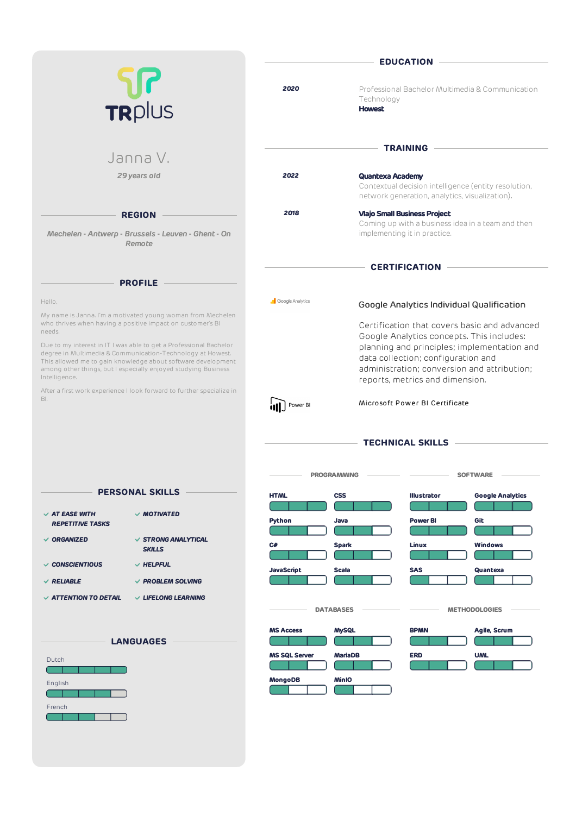|                                                                                                                                                                                                                                                                                     | <b>EDUCATION</b>        |                                                                                                                                                                     |  |  |
|-------------------------------------------------------------------------------------------------------------------------------------------------------------------------------------------------------------------------------------------------------------------------------------|-------------------------|---------------------------------------------------------------------------------------------------------------------------------------------------------------------|--|--|
| TRPlus                                                                                                                                                                                                                                                                              | 2020                    | Professional Bachelor Multimedia & Communication<br>Technology<br><b>Howest</b>                                                                                     |  |  |
| Janna V.                                                                                                                                                                                                                                                                            |                         | <b>TRAINING</b>                                                                                                                                                     |  |  |
| 29 years old                                                                                                                                                                                                                                                                        | 2022                    | <b>Quantexa Academy</b><br>Contextual decision intelligence (entity resolution,<br>network generation, analytics, visualization).                                   |  |  |
| <b>REGION</b><br>Mechelen - Antwerp - Brussels - Leuven - Ghent - On<br>Remote                                                                                                                                                                                                      | 2018                    | <b>Vlajo Small Business Project</b><br>Coming up with a business idea in a team and then<br>implementing it in practice.                                            |  |  |
| <b>PROFILE</b>                                                                                                                                                                                                                                                                      |                         | <b>CERTIFICATION</b>                                                                                                                                                |  |  |
| Hello,<br>My name is Janna. I'm a motivated young woman from Mechelen<br>who thrives when having a positive impact on customer's BI<br>needs.                                                                                                                                       | <b>Google Analytics</b> | Google Analytics Individual Qualification<br>Certification that covers basic and advanced<br>Google Analytics concepts. This includes:                              |  |  |
| Due to my interest in IT I was able to get a Professional Bachelor<br>degree in Multimedia & Communication-Technology at Howest.<br>This allowed me to gain knowledge about software development<br>among other things, but I especially enjoyed studying Business<br>Intelligence. |                         | planning and principles; implementation and<br>data collection; configuration and<br>administration: conversion and attribution:<br>reports, metrics and dimension. |  |  |
| After a first work experience I look forward to further specialize in<br>BI.                                                                                                                                                                                                        | Power B                 | Microsoft Power BI Certificate                                                                                                                                      |  |  |

**TECHNICAL SKILLS**

|                                                |                                           | <b>PROGRAMMING</b>                       |                | <b>SOFTWARE</b>    |                         |  |
|------------------------------------------------|-------------------------------------------|------------------------------------------|----------------|--------------------|-------------------------|--|
|                                                | <b>PERSONAL SKILLS</b>                    | <b>HTML</b>                              | <b>CSS</b>     | <b>Illustrator</b> | <b>Google Analytics</b> |  |
| $\vee$ AT EASE WITH<br><b>REPETITIVE TASKS</b> | $\vee$ MOTIVATED                          | Python                                   | Java           | <b>Power BI</b>    | Git                     |  |
| $\vee$ ORGANIZED                               | $\vee$ STRONG ANALYTICAL<br><b>SKILLS</b> | C#                                       | <b>Spark</b>   | Linux              | <b>Windows</b>          |  |
| <b>CONSCIENTIOUS</b><br>✓<br>$\vee$ RELIABLE   | $\vee$ HELPFUL<br>$\vee$ PROBLEM SOLVING  | <b>JavaScript</b>                        | <b>Scala</b>   | <b>SAS</b>         | Quantexa                |  |
| $\vee$ ATTENTION TO DETAIL                     | $\vee$ LIFELONG LEARNING                  | <b>DATABASES</b><br><b>METHODOLOGIES</b> |                |                    |                         |  |
|                                                | <b>LANGUAGES</b>                          | <b>MS Access</b>                         | <b>MySQL</b>   | <b>BPMN</b>        | Agile, Scrum            |  |
| Dutch                                          |                                           | <b>MS SQL Server</b>                     | <b>MariaDB</b> | <b>ERD</b>         | <b>UML</b>              |  |
| English                                        |                                           | MongoDB                                  | <b>MinIO</b>   |                    |                         |  |
| French                                         |                                           |                                          |                |                    |                         |  |